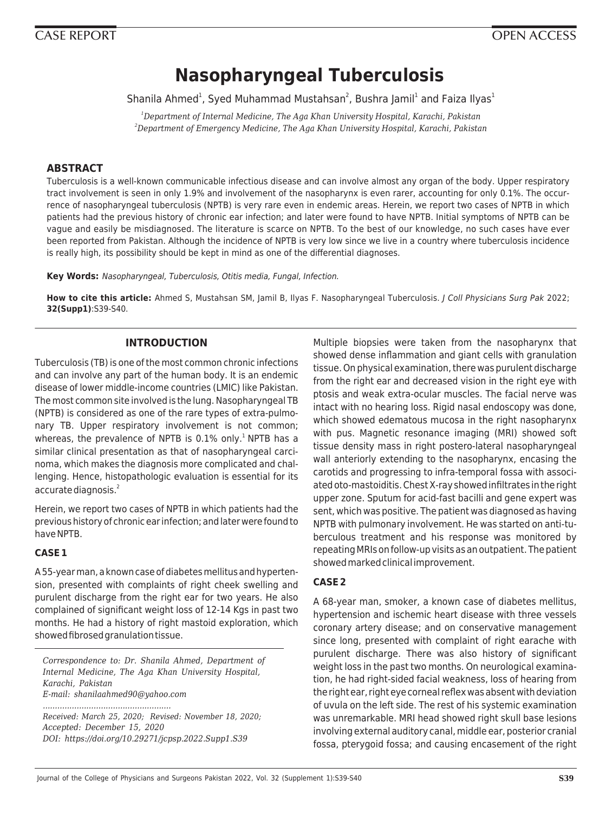# **Nasopharyngeal Tuberculosis**

Shanila Ahmed<sup>1</sup>, Syed Muhammad Mustahsan<sup>2</sup>, Bushra Jamil<sup>1</sup> and Faiza Ilyas<sup>1</sup>

*<sup>1</sup>Department of Internal Medicine, The Aga Khan University Hospital, Karachi, Pakistan <sup>2</sup>Department of Emergency Medicine, The Aga Khan University Hospital, Karachi, Pakistan*

# **ABSTRACT**

Tuberculosis is a well-known communicable infectious disease and can involve almost any organ of the body. Upper respiratory tract involvement is seen in only 1.9% and involvement of the nasopharynx is even rarer, accounting for only 0.1%. The occurrence of nasopharyngeal tuberculosis (NPTB) is very rare even in endemic areas. Herein, we report two cases of NPTB in which patients had the previous history of chronic ear infection; and later were found to have NPTB. Initial symptoms of NPTB can be vague and easily be misdiagnosed. The literature is scarce on NPTB. To the best of our knowledge, no such cases have ever been reported from Pakistan. Although the incidence of NPTB is very low since we live in a country where tuberculosis incidence is really high, its possibility should be kept in mind as one of the differential diagnoses.

**Key Words:** Nasopharyngeal, Tuberculosis, Otitis media, Fungal, Infection.

**How to cite this article:** Ahmed S, Mustahsan SM, Jamil B, Ilyas F. Nasopharyngeal Tuberculosis. J Coll Physicians Surg Pak 2022; **32(Supp1)**:S39-S40.

# **INTRODUCTION**

Tuberculosis (TB) is one of the most common chronic infections and can involve any part of the human body. It is an endemic disease of lower middle-income countries (LMIC) like Pakistan. The most common site involved is the lung. Nasopharyngeal TB (NPTB) is considered as one of the rare types of extra-pulmonary TB. Upper respiratory involvement is not common; whereas, the prevalence of NPTB is  $0.1\%$  only.<sup>1</sup> NPTB has a similar clinical presentation as that of nasopharyngeal carcinoma, which makes the diagnosis more complicated and challenging. Hence, histopathologic evaluation is essential for its accurate diagnosis.<sup>2</sup>

Herein, we report two cases of NPTB in which patients had the previous history of chronic ear infection; and later were found to have NPTB.

# **CASE 1**

A 55-year man, a known case of diabetes mellitus and hypertension, presented with complaints of right cheek swelling and purulent discharge from the right ear for two years. He also complained of significant weight loss of 12-14 Kgs in past two months. He had a history of right mastoid exploration, which showed fibrosed granulation tissue.

*Correspondence to: Dr. Shanila Ahmed, Department of Internal Medicine, The Aga Khan University Hospital, Karachi, Pakistan E-mail: shanilaahmed90@yahoo.com .....................................................*

*Received: March 25, 2020; Revised: November 18, 2020; Accepted: December 15, 2020 DOI: https://doi.org/10.29271/jcpsp.2022.Supp1.S39*

Multiple biopsies were taken from the nasopharynx that showed dense inflammation and giant cells with granulation tissue. On physical examination, there was purulent discharge from the right ear and decreased vision in the right eye with ptosis and weak extra-ocular muscles. The facial nerve was intact with no hearing loss. Rigid nasal endoscopy was done, which showed edematous mucosa in the right nasopharynx with pus. Magnetic resonance imaging (MRI) showed soft tissue density mass in right postero-lateral nasopharyngeal wall anteriorly extending to the nasopharynx, encasing the carotids and progressing to infra-temporal fossa with associated oto-mastoiditis. Chest X-ray showed infiltrates in the right upper zone. Sputum for acid-fast bacilli and gene expert was sent, which was positive. The patient was diagnosed as having NPTB with pulmonary involvement. He was started on anti-tuberculous treatment and his response was monitored by repeating MRIs on follow-up visits as an outpatient. The patient showed marked clinical improvement.

# **CASE 2**

A 68-year man, smoker, a known case of diabetes mellitus, hypertension and ischemic heart disease with three vessels coronary artery disease; and on conservative management since long, presented with complaint of right earache with purulent discharge. There was also history of significant weight loss in the past two months. On neurological examination, he had right-sided facial weakness, loss of hearing from the right ear, right eye corneal reflex was absent with deviation of uvula on the left side. The rest of his systemic examination was unremarkable. MRI head showed right skull base lesions involving external auditory canal, middle ear, posterior cranial fossa, pterygoid fossa; and causing encasement of the right